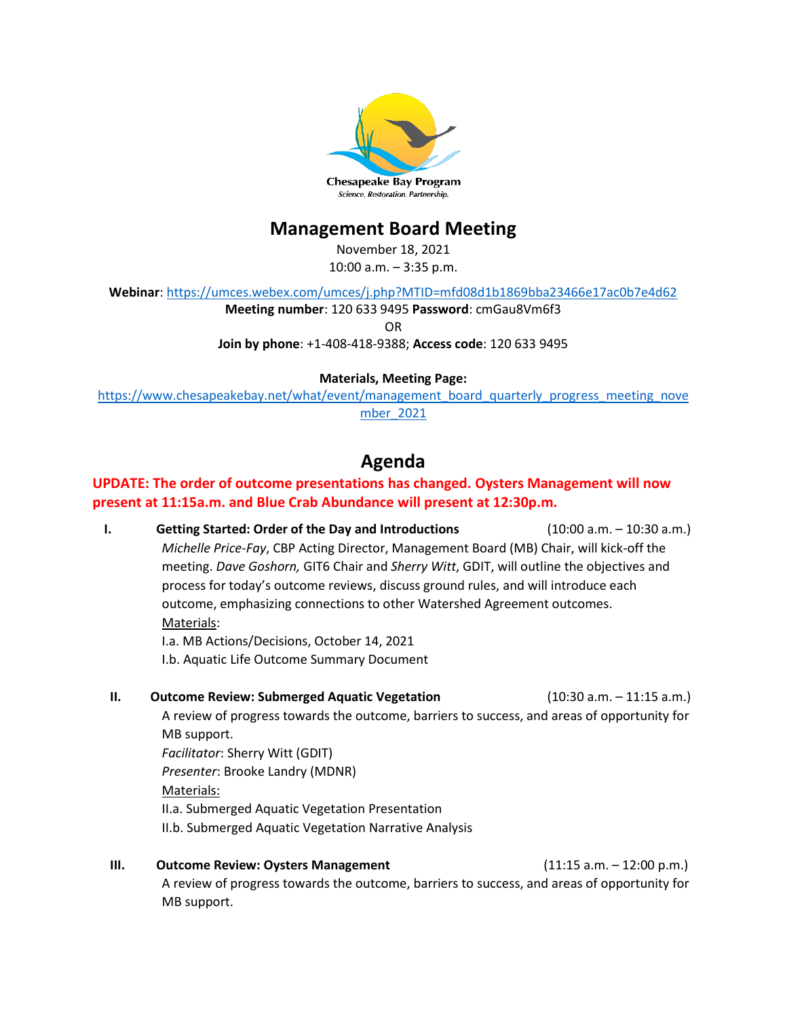

# **Management Board Meeting**

November 18, 2021

10:00 a.m. – 3:35 p.m.

**Webinar**[: https://umces.webex.com/umces/j.php?MTID=mfd08d1b1869bba23466e17ac0b7e4d62](https://umces.webex.com/umces/j.php?MTID=mfd08d1b1869bba23466e17ac0b7e4d62)

**Meeting number**: 120 633 9495 **Password**: cmGau8Vm6f3

OR

**Join by phone**: +1-408-418-9388; **Access code**: 120 633 9495

## **Materials, Meeting Page:**

[https://www.chesapeakebay.net/what/event/management\\_board\\_quarterly\\_progress\\_meeting\\_nove](https://www.chesapeakebay.net/what/event/management_board_quarterly_progress_meeting_november_2021) [mber\\_2021](https://www.chesapeakebay.net/what/event/management_board_quarterly_progress_meeting_november_2021)

# **Agenda**

## **UPDATE: The order of outcome presentations has changed. Oysters Management will now present at 11:15a.m. and Blue Crab Abundance will present at 12:30p.m.**

**I. Getting Started: Order of the Day and Introductions** (10:00 a.m. – 10:30 a.m.) *Michelle Price-Fay*, CBP Acting Director, Management Board (MB) Chair, will kick-off the meeting. *Dave Goshorn,* GIT6 Chair and *Sherry Witt*, GDIT, will outline the objectives and process for today's outcome reviews, discuss ground rules, and will introduce each outcome, emphasizing connections to other Watershed Agreement outcomes. Materials: I.a. MB Actions/Decisions, October 14, 2021

I.b. Aquatic Life Outcome Summary Document

- **II. Outcome Review: Submerged Aquatic Vegetation** (10:30 a.m. 11:15 a.m.) A review of progress towards the outcome, barriers to success, and areas of opportunity for MB support. *Facilitator*: Sherry Witt (GDIT) *Presenter*: Brooke Landry (MDNR) Materials: II.a. Submerged Aquatic Vegetation Presentation
	- II.b. Submerged Aquatic Vegetation Narrative Analysis
- **III. Outcome Review: Oysters Management** (11:15 a.m. 12:00 p.m.) A review of progress towards the outcome, barriers to success, and areas of opportunity for MB support.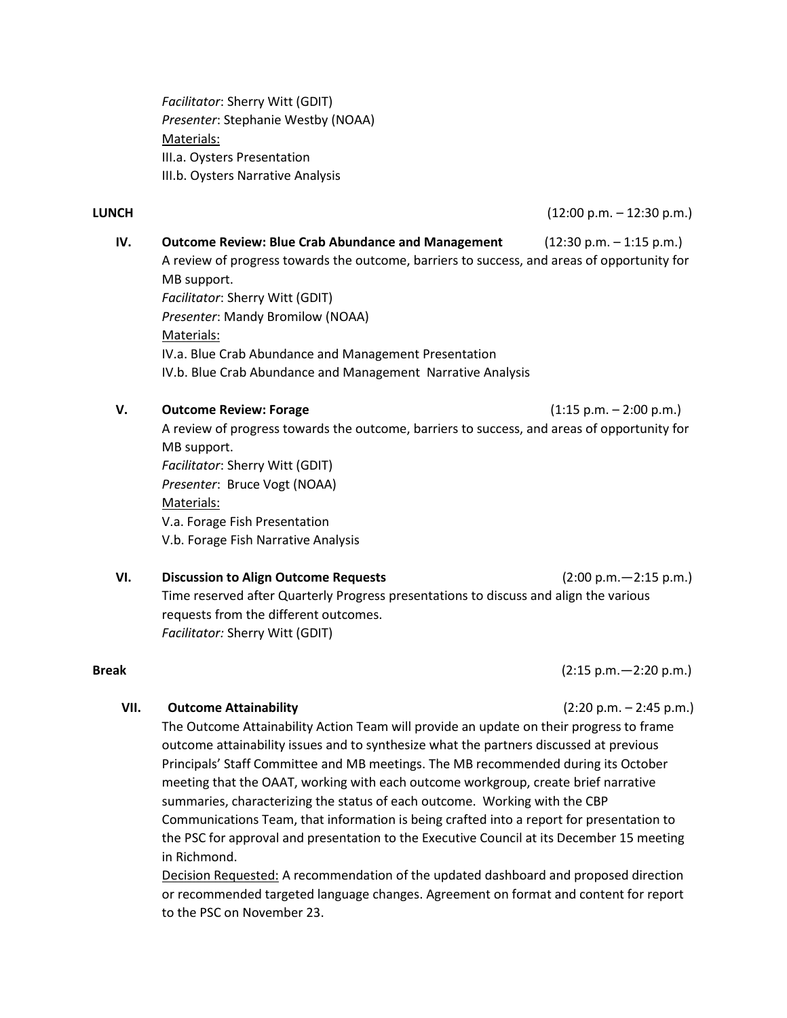*Facilitator*: Sherry Witt (GDIT) *Presenter*: Stephanie Westby (NOAA) Materials: III.a. Oysters Presentation III.b. Oysters Narrative Analysis

**LUNCH** (12:00 p.m. – 12:30 p.m.)

**IV. Outcome Review: Blue Crab Abundance and Management** (12:30 p.m. – 1:15 p.m.) A review of progress towards the outcome, barriers to success, and areas of opportunity for MB support. *Facilitator*: Sherry Witt (GDIT) *Presenter*: Mandy Bromilow (NOAA) Materials: IV.a. Blue Crab Abundance and Management [Presentation](https://www.chesapeakebay.net/channel_files/37485/ii.a._forestbuffer_srs_logic_and_action_plan_preqpr.pdf) IV.b. Blue Crab Abundance and Management [Narrative Analysis](https://www.chesapeakebay.net/channel_files/37485/ii.b._forestbuffer_narrative_analysis_draft_7-28_clean.pdf) **V. Outcome Review: Forage 1:15 p.m. – 2:00 p.m.)** 

A review of progress towards the outcome, barriers to success, and areas of opportunity for MB support. *Facilitator*: Sherry Witt (GDIT) *Presenter*: Bruce Vogt (NOAA) Materials: V.a. Forage Fish [Presentation](https://www.chesapeakebay.net/channel_files/37485/ii.a._forestbuffer_srs_logic_and_action_plan_preqpr.pdf) V.b. [Forage Fish Narrative Analysis](https://www.chesapeakebay.net/channel_files/37485/ii.b._forestbuffer_narrative_analysis_draft_7-28_clean.pdf)

**VI. Discussion to Align Outcome Requests** (2:00 p.m.—2:15 p.m.) Time reserved after Quarterly Progress presentations to discuss and align the various requests from the different outcomes. *Facilitator:* Sherry Witt (GDIT)

**Break** (2:15 p.m.—2:20 p.m.)

### **VII. Outcome Attainability** (2:20 p.m. – 2:45 p.m.)

The Outcome Attainability Action Team will provide an update on their progress to frame outcome attainability issues and to synthesize what the partners discussed at previous Principals' Staff Committee and MB meetings. The MB recommended during its October meeting that the OAAT, working with each outcome workgroup, create brief narrative summaries, characterizing the status of each outcome. Working with the CBP Communications Team, that information is being crafted into a report for presentation to the PSC for approval and presentation to the Executive Council at its December 15 meeting in Richmond.

Decision Requested: A recommendation of the updated dashboard and proposed direction or recommended targeted language changes. Agreement on format and content for report to the PSC on November 23.